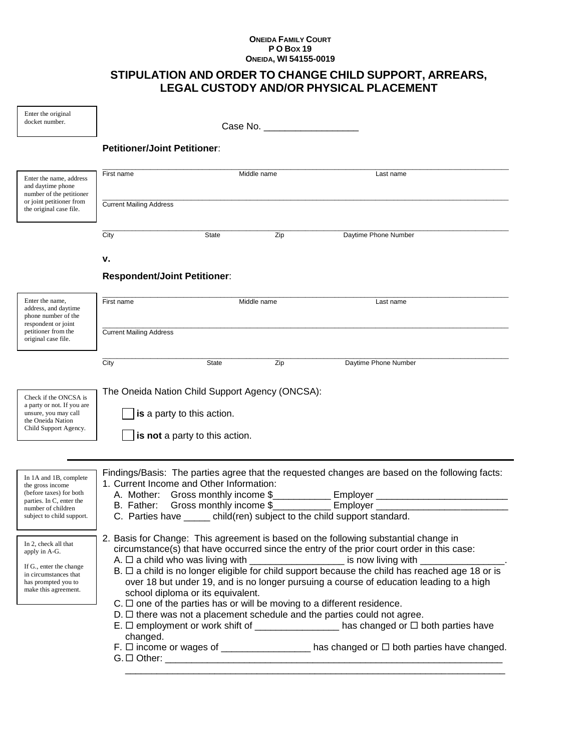## **ONEIDA FAMILY COURT P O BOX 19 ONEIDA, WI 54155-0019**

## **STIPULATION AND ORDER TO CHANGE CHILD SUPPORT, ARREARS, LEGAL CUSTODY AND/OR PHYSICAL PLACEMENT**

| Enter the original<br>docket number.                                                                                                                                                                                                                                                                                                                                                                                                                                          | Case No. ______________________                                                                                                                                                                                                                                                               |                                                              |             |                                                                                                                                                                     |  |
|-------------------------------------------------------------------------------------------------------------------------------------------------------------------------------------------------------------------------------------------------------------------------------------------------------------------------------------------------------------------------------------------------------------------------------------------------------------------------------|-----------------------------------------------------------------------------------------------------------------------------------------------------------------------------------------------------------------------------------------------------------------------------------------------|--------------------------------------------------------------|-------------|---------------------------------------------------------------------------------------------------------------------------------------------------------------------|--|
|                                                                                                                                                                                                                                                                                                                                                                                                                                                                               | <b>Petitioner/Joint Petitioner:</b>                                                                                                                                                                                                                                                           |                                                              |             |                                                                                                                                                                     |  |
| Enter the name, address<br>and daytime phone<br>number of the petitioner                                                                                                                                                                                                                                                                                                                                                                                                      | First name                                                                                                                                                                                                                                                                                    |                                                              | Middle name | Last name                                                                                                                                                           |  |
| or joint petitioner from<br>the original case file.                                                                                                                                                                                                                                                                                                                                                                                                                           | <b>Current Mailing Address</b>                                                                                                                                                                                                                                                                |                                                              |             |                                                                                                                                                                     |  |
|                                                                                                                                                                                                                                                                                                                                                                                                                                                                               | City                                                                                                                                                                                                                                                                                          | State                                                        | Zip         | Daytime Phone Number                                                                                                                                                |  |
|                                                                                                                                                                                                                                                                                                                                                                                                                                                                               | ۷.                                                                                                                                                                                                                                                                                            |                                                              |             |                                                                                                                                                                     |  |
|                                                                                                                                                                                                                                                                                                                                                                                                                                                                               | <b>Respondent/Joint Petitioner:</b>                                                                                                                                                                                                                                                           |                                                              |             |                                                                                                                                                                     |  |
| Enter the name,<br>address, and daytime<br>phone number of the<br>respondent or joint<br>petitioner from the<br>original case file.                                                                                                                                                                                                                                                                                                                                           | First name                                                                                                                                                                                                                                                                                    |                                                              | Middle name | Last name                                                                                                                                                           |  |
|                                                                                                                                                                                                                                                                                                                                                                                                                                                                               | <b>Current Mailing Address</b>                                                                                                                                                                                                                                                                |                                                              |             |                                                                                                                                                                     |  |
|                                                                                                                                                                                                                                                                                                                                                                                                                                                                               | City                                                                                                                                                                                                                                                                                          | <b>State</b>                                                 | Zip         | Daytime Phone Number                                                                                                                                                |  |
| Check if the ONCSA is<br>a party or not. If you are<br>unsure, you may call<br>the Oneida Nation<br>Child Support Agency.                                                                                                                                                                                                                                                                                                                                                     | The Oneida Nation Child Support Agency (ONCSA):                                                                                                                                                                                                                                               | is a party to this action.<br>is not a party to this action. |             |                                                                                                                                                                     |  |
| In 1A and 1B, complete<br>the gross income<br>(before taxes) for both<br>parties. In C, enter the<br>number of children<br>subject to child support.                                                                                                                                                                                                                                                                                                                          | 1. Current Income and Other Information:                                                                                                                                                                                                                                                      |                                                              |             | Findings/Basis: The parties agree that the requested changes are based on the following facts:<br>C. Parties have child(ren) subject to the child support standard. |  |
| 2. Basis for Change: This agreement is based on the following substantial change in<br>In 2, check all that<br>circumstance(s) that have occurred since the entry of the prior court order in this case:<br>apply in A-G.<br>A. $\Box$ a child who was living with _____________________ is now living with __________<br>If G., enter the change<br>B. □ a child is no longer eligible for child support because the child has reached age 18 or is<br>in circumstances that |                                                                                                                                                                                                                                                                                               |                                                              |             |                                                                                                                                                                     |  |
| has prompted you to<br>make this agreement.                                                                                                                                                                                                                                                                                                                                                                                                                                   | over 18 but under 19, and is no longer pursuing a course of education leading to a high<br>school diploma or its equivalent.<br>$C. \Box$ one of the parties has or will be moving to a different residence.<br>$D. \Box$ there was not a placement schedule and the parties could not agree. |                                                              |             |                                                                                                                                                                     |  |
|                                                                                                                                                                                                                                                                                                                                                                                                                                                                               | changed.                                                                                                                                                                                                                                                                                      |                                                              |             | E. □ employment or work shift of _________________ has changed or □ both parties have                                                                               |  |
|                                                                                                                                                                                                                                                                                                                                                                                                                                                                               | G. □ Other: ______________                                                                                                                                                                                                                                                                    |                                                              |             | F. $\Box$ income or wages of ___________________ has changed or $\Box$ both parties have changed.                                                                   |  |

\_\_\_\_\_\_\_\_\_\_\_\_\_\_\_\_\_\_\_\_\_\_\_\_\_\_\_\_\_\_\_\_\_\_\_\_\_\_\_\_\_\_\_\_\_\_\_\_\_\_\_\_\_\_\_\_\_\_\_\_\_\_\_\_\_\_\_\_\_\_\_\_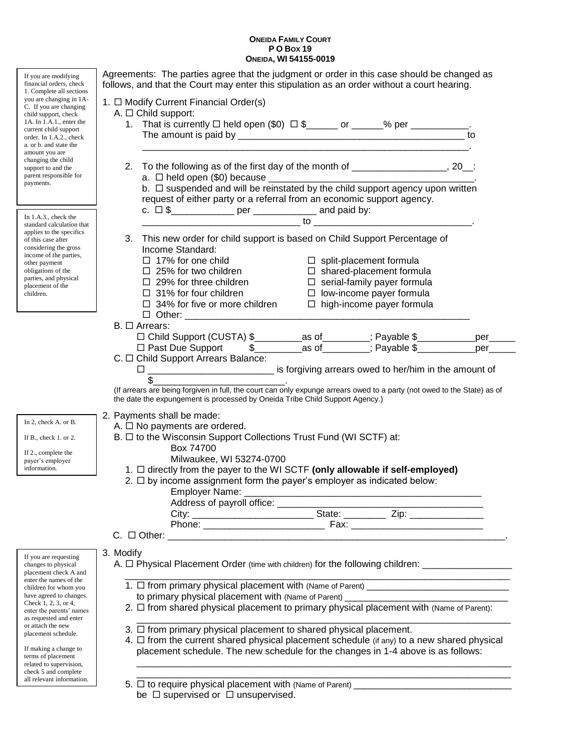## **ONEIDA FAMILY COURT P O BOX 19 ONEIDA, WI 54155-0019**

| If you are modifying                                                                                                                                                                                                                         | Agreements: The parties agree that the judgment or order in this case should be changed as                                                                                                                                    |  |  |  |  |  |  |
|----------------------------------------------------------------------------------------------------------------------------------------------------------------------------------------------------------------------------------------------|-------------------------------------------------------------------------------------------------------------------------------------------------------------------------------------------------------------------------------|--|--|--|--|--|--|
| financial orders, check<br>1. Complete all sections                                                                                                                                                                                          | follows, and that the Court may enter this stipulation as an order without a court hearing.                                                                                                                                   |  |  |  |  |  |  |
| you are changing in 1A-<br>C. If you are changing                                                                                                                                                                                            | 1. O Modify Current Financial Order(s)                                                                                                                                                                                        |  |  |  |  |  |  |
| child support, check                                                                                                                                                                                                                         | A. $\Box$ Child support:                                                                                                                                                                                                      |  |  |  |  |  |  |
| 1A. In $1.A.1.$ , enter the<br>current child support                                                                                                                                                                                         | 1. That is currently $\Box$ held open (\$0) $\Box$ \$______ or _____% per __________.                                                                                                                                         |  |  |  |  |  |  |
| order. In 1.A.2., check<br>a. or b. and state the                                                                                                                                                                                            | to                                                                                                                                                                                                                            |  |  |  |  |  |  |
| amount you are                                                                                                                                                                                                                               | the control of the control of the control of the control of the control of the control of the control of the control of the control of the control of the control of the control of the control of the control of the control |  |  |  |  |  |  |
| changing the child<br>support to and the                                                                                                                                                                                                     | To the following as of the first day of the month of ____________________, 20__:<br>2.                                                                                                                                        |  |  |  |  |  |  |
| parent responsible for                                                                                                                                                                                                                       |                                                                                                                                                                                                                               |  |  |  |  |  |  |
| payments.                                                                                                                                                                                                                                    |                                                                                                                                                                                                                               |  |  |  |  |  |  |
|                                                                                                                                                                                                                                              | request of either party or a referral from an economic support agency.                                                                                                                                                        |  |  |  |  |  |  |
| In $1.A.3.,$ check the<br>standard calculation that<br>applies to the specifics<br>of this case after<br>considering the gross<br>income of the parties,<br>other payment<br>obligations of the<br>parties, and physical<br>placement of the | c. $\Box$ \$________________ per ______________ and paid by:                                                                                                                                                                  |  |  |  |  |  |  |
|                                                                                                                                                                                                                                              |                                                                                                                                                                                                                               |  |  |  |  |  |  |
|                                                                                                                                                                                                                                              | 3. This new order for child support is based on Child Support Percentage of<br>Income Standard:                                                                                                                               |  |  |  |  |  |  |
|                                                                                                                                                                                                                                              | $\Box$ 17% for one child<br>$\Box$ split-placement formula                                                                                                                                                                    |  |  |  |  |  |  |
|                                                                                                                                                                                                                                              | $\Box$ 25% for two children<br>$\Box$ shared-placement formula                                                                                                                                                                |  |  |  |  |  |  |
|                                                                                                                                                                                                                                              | $\Box$ 29% for three children<br>$\Box$ 31% for four children<br>$\Box$ serial-family payer formula                                                                                                                           |  |  |  |  |  |  |
| children.                                                                                                                                                                                                                                    | $\Box$ low-income payer formula<br>$\Box$ 34% for five or more children                                                                                                                                                       |  |  |  |  |  |  |
|                                                                                                                                                                                                                                              | $\Box$ high-income payer formula                                                                                                                                                                                              |  |  |  |  |  |  |
|                                                                                                                                                                                                                                              | $B. \Box$ Arrears:                                                                                                                                                                                                            |  |  |  |  |  |  |
|                                                                                                                                                                                                                                              | □ Child Support (CUSTA) \$__________as of_________; Payable \$____________per_____<br>□ Past Due Support   \$_________as of_________; Payable \$____________per_____                                                          |  |  |  |  |  |  |
|                                                                                                                                                                                                                                              |                                                                                                                                                                                                                               |  |  |  |  |  |  |
|                                                                                                                                                                                                                                              | C. $\Box$ Child Support Arrears Balance:<br>is forgiving arrears owed to her/him in the amount of<br>ப                                                                                                                        |  |  |  |  |  |  |
|                                                                                                                                                                                                                                              |                                                                                                                                                                                                                               |  |  |  |  |  |  |
|                                                                                                                                                                                                                                              | (If arrears are being forgiven in full, the court can only expunge arrears owed to a party (not owed to the State) as of<br>the date the expungement is processed by Oneida Tribe Child Support Agency.)                      |  |  |  |  |  |  |
|                                                                                                                                                                                                                                              | 2. Payments shall be made:                                                                                                                                                                                                    |  |  |  |  |  |  |
| In 2, check A. or B.                                                                                                                                                                                                                         | A. $\Box$ No payments are ordered.                                                                                                                                                                                            |  |  |  |  |  |  |
| If $B_{\cdot}$ , check 1. or 2.                                                                                                                                                                                                              | B. □ to the Wisconsin Support Collections Trust Fund (WI SCTF) at:                                                                                                                                                            |  |  |  |  |  |  |
| If 2., complete the                                                                                                                                                                                                                          | Box 74700                                                                                                                                                                                                                     |  |  |  |  |  |  |
| payer's employer<br>information.                                                                                                                                                                                                             | Milwaukee, WI 53274-0700<br>1. □ directly from the payer to the WI SCTF (only allowable if self-employed)                                                                                                                     |  |  |  |  |  |  |
|                                                                                                                                                                                                                                              | 2. $\Box$ by income assignment form the payer's employer as indicated below:                                                                                                                                                  |  |  |  |  |  |  |
|                                                                                                                                                                                                                                              | Employer Name: _                                                                                                                                                                                                              |  |  |  |  |  |  |
|                                                                                                                                                                                                                                              |                                                                                                                                                                                                                               |  |  |  |  |  |  |
|                                                                                                                                                                                                                                              |                                                                                                                                                                                                                               |  |  |  |  |  |  |
|                                                                                                                                                                                                                                              |                                                                                                                                                                                                                               |  |  |  |  |  |  |
|                                                                                                                                                                                                                                              |                                                                                                                                                                                                                               |  |  |  |  |  |  |
| If you are requesting<br>changes to physical                                                                                                                                                                                                 | 3. Modify<br>A. $\Box$ Physical Placement Order (time with children) for the following children: __________________                                                                                                           |  |  |  |  |  |  |
| placement check A and<br>enter the names of the                                                                                                                                                                                              |                                                                                                                                                                                                                               |  |  |  |  |  |  |
| children for whom you                                                                                                                                                                                                                        |                                                                                                                                                                                                                               |  |  |  |  |  |  |
| have agreed to changes.<br>Check 1, 2, 3, or 4,                                                                                                                                                                                              | to primary physical placement with (Name of Parent) ____________________________                                                                                                                                              |  |  |  |  |  |  |
| enter the parents' names<br>as requested and enter                                                                                                                                                                                           | 2. □ from shared physical placement to primary physical placement with (Name of Parent):                                                                                                                                      |  |  |  |  |  |  |
| or attach the new                                                                                                                                                                                                                            | 3. $\Box$ from primary physical placement to shared physical placement.                                                                                                                                                       |  |  |  |  |  |  |
| placement schedule.                                                                                                                                                                                                                          | 4. $\Box$ from the current shared physical placement schedule (if any) to a new shared physical                                                                                                                               |  |  |  |  |  |  |
| If making a change to                                                                                                                                                                                                                        | placement schedule. The new schedule for the changes in 1-4 above is as follows:                                                                                                                                              |  |  |  |  |  |  |
| terms of placement<br>related to supervision,                                                                                                                                                                                                |                                                                                                                                                                                                                               |  |  |  |  |  |  |
| check 5 and complete<br>all relevant information.                                                                                                                                                                                            |                                                                                                                                                                                                                               |  |  |  |  |  |  |
|                                                                                                                                                                                                                                              |                                                                                                                                                                                                                               |  |  |  |  |  |  |
|                                                                                                                                                                                                                                              | be $\Box$ supervised or $\Box$ unsupervised.                                                                                                                                                                                  |  |  |  |  |  |  |